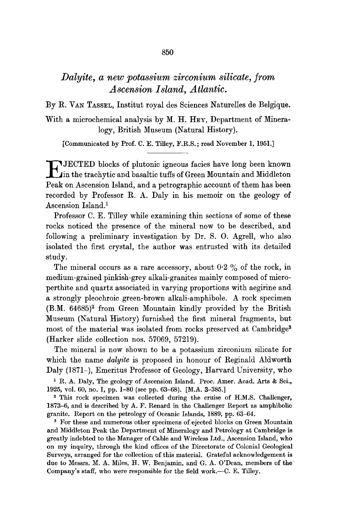# *Dalyite, a new potassium zirconium silicate, from Ascension Island, Atlantic.*

By R. VAN TASSEL, Institut royal des Sciences Naturelles de Belgique.

With a microchemical analysis by M. H. HEY, Department of Mineralogy, British Museum (Natural History).

[Communicated by Prof. C. E. Tilley, F.R.S. ; read November 1, 1951.]

**E** JECTED blocks of plutonic igneous facies have long been known<br>in the trachytic and basaltic tuffs of Green Mountain and Middleton Peak on Ascension Island, and a petrographic account of them has been recorded by Professor R. A. Daly in his memoir on the geology of Ascension Island.<sup>1</sup>

Professor C. E. Tilley while examining thin sections of some of these rocks noticed the presence of the mineral now to be described, and following a preliminary investigation by Dr. S. O. Agrell, who also isolated the first crystal, the author was entrusted with its detailed study.

The mineral occurs as a rare accessory, about  $0.2\%$  of the rock, in medium-grained pinkish-grey alkali-granites mainly composed of microperthite and quartz associated in varying proportions with aegirine and a strongly pleochroic green-brown alkali-amphibole. A rock specimen (B.M. 64685)<sup>2</sup> from Green Mountain kindly provided by the British Museum (Natural History) furnished the first mineral fragments, but most of the material was isolated from rocks preserved at Cambridge<sup>3</sup> (Harker slide collection nos. 57069, 57219).

The mineral is now shown to be a potassium zirconium silicate for which the name *dalyite* is proposed in honour of Reginald Aldworth Daly (1871-), Emeritus Professor of Geology, Harvard University, who

<sup>1</sup> R. A. Daly, The geology of Ascension Island. Proc. Amer. Acad. Arts & Sci., 1925, vol. 60, no. 1, pp. 1-80 (see pp. 63-68). [M.A. 3-385.]

2 This rock specimen was collected during the cruise of H.M.S. Challenger, 1873-6, and is described by A. F. Renard in the Challenger Report as amphibolie granite. Report on the petrology of Oceanic Islands, 1889, pp. 63-64.

<sup>3</sup> For these and numerous other specimens of ejected blocks on Green Mountain and Middleton Peak the Department of Mineralogy and Petrology at Cambridge is greatly indebted to the Manager of Cable and Wireless Ltd., Ascension Island, who on my inquiry, through the kind offices of the Directorate of Colonial Geological Surveys, arranged for the collection of this material. Grateful acknowledgement is due to Messrs. M. A. Miles, H. W. Benjamin, and G. A. O'Dean, members of the Company's staff, who were responsible for the field work.--C. E. Tilley.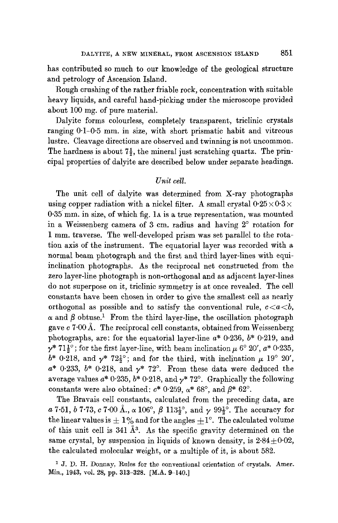has contributed so much to our knowledge of the geological structure and petrology of Ascension Island.

Rough crushing of the rather friable rock, concentration with suitable heavy liquids, and careful hand-picking under the microscope provided about 100 mg. of pure material.

Dalyite forms colourless, completely transparent, triclinic crystals ranging  $0.1-0.5$  mm. in size, with short prismatic habit and vitreous lustre. Cleavage directions are observed and twinning is not uncommon. The hardness is about  $7\frac{1}{2}$ , the mineral just scratching quartz. The principal properties of dalyite are described below under separate headings.

#### *Unit cell.*

The unit cell of dalyite was determined from X-ray photographs using copper radiation with a nickel filter. A small crystal  $0.25 \times 0.3 \times$ 0.35 mm. in size, of which fig. 1A is a true representation, was mounted in a Weissenberg camera of 3 cm. radius and having  $2^\circ$  rotation for 1 mm. traverse. The well-developed prism was set parallel to the rotation axis of the instrument. The equatorial layer was recorded with a normal beam photograph and the first and third layer-lines with equiinclination photographs. As the reciprocal net constructed from the zero layer-line photograph is non-orthogonal and as adjacent layer-lines do not superpose on it, triclinic symmetry is at once revealed. The cell constants have been chosen in order to give the smallest cell as nearly orthogonal as possible and to satisfy the conventional rule,  $c < a < b$ ,  $\alpha$  and  $\beta$  obtuse.<sup>1</sup> From the third layer-line, the oscillation photograph gave c 7.00 Å. The reciprocal cell constants, obtained from Weissenberg photographs, are: for the equatorial layer-line  $a^*$  0.236,  $b^*$  0.219, and  $\gamma^*$  71 $\frac{1}{6}$ ; for the first layer-line, with beam inclination  $\mu$  6° 20',  $a^*$  0.235,  $b^*$  0.218, and  $\gamma^*$  72<sup>1</sup>/<sub>2</sub><sup>o</sup>; and for the third, with inclination  $\mu$  19<sup>°</sup> 20',  $a^*$  0.233,  $b^*$  0.218, and  $\gamma^*$  72°. From these data were deduced the average values  $a^* 0.235$ ,  $b^* 0.218$ , and  $\gamma^* 72^{\circ}$ . Graphically the following constants were also obtained:  $c^*$  0.259,  $\alpha^*$  68°, and  $\beta^*$  62°.

The Bravais cell constants, calculated from the preceding data, are a 7.51, b 7.73, c 7.00 Å.,  $\alpha$  106°,  $\beta$  113<sup>1</sup>/<sub>2</sub>°, and  $\gamma$  99<sup>1</sup>/<sub>2</sub>°. The accuracy for the linear values is  $\pm 1\%$  and for the angles  $+1^{\circ}$ . The calculated volume of this unit cell is 341  $\AA^3$ . As the specific gravity determined on the same crystal, by suspension in liquids of known density, is  $2.84 \pm 0.02$ , the calculated molecular weight, or a multiple of it, is about 582.

<sup>1</sup> J. D. H. Donnay, Rules for the conventional orientation of crystals. Amer. Min., 1943, vol. 28, pp. 313-328. [M.A. 9-140.]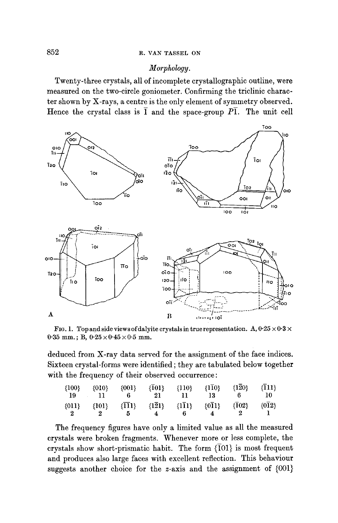### *Morphology.*

Twenty-three crystals, all of incomplete crystallographic outline, were measured on the two-circle goniometer. Confirming the triclinic character shown by X-rays, a centre is the only element of symmetry observed. Hence the crystal class is  $\overline{1}$  and the space-group  $P\overline{1}$ . The unit cell



FIG. 1. Top and side views of dalyite crystals in true representation. A,  $0.25 \times 0.3 \times$ 0.35 mm.; B,  $0.25 \times 0.45 \times 0.5$  mm.

deduced from X-ray data served for the assignment of the face indices. Sixteen crystal-forms were identified ; they are tabulated below together with the frequency of their observed occurrence:

| \n $\{100\}$ \n           | \n $\{001\}$ \n            | \n $\{\overline{101}\}$ \n | \n $\{110\}$ \n            | \n $\{\overline{100}\}$ \n | \n $\{\overline{120}\}$ \n | \n $\{\overline{111}\}$ \n |                            |
|---------------------------|----------------------------|----------------------------|----------------------------|----------------------------|----------------------------|----------------------------|----------------------------|
| \n $\{011\}$ \n           | \n $\{101\}$ \n            | \n $\{\overline{111}\}$ \n | \n $\{\overline{121}\}$ \n | \n $\{\overline{111}\}$ \n | \n $\{\overline{011}\}$ \n | \n $\{\overline{102}\}$ \n | \n $\{\overline{012}\}$ \n |
| \n $\{\overline{22}\}$ \n | \n $\{\overline{21}\}$ \n  | \n $\{\overline{111}\}$ \n | \n $\{\overline{011}\}$ \n | \n $\{\overline{002}\}$ \n | \n $\{\overline{012}\}$ \n |                            |                            |
| \n $\{\overline{22}\}$ \n | \n $\{\overline{23}\}$ \n  | \n $\{\overline{24}\}$ \n  | \n $\{\overline{011}\}$ \n | \n $\{\overline{002}\}$ \n | \n $\{\overline{012}\}$ \n |                            |                            |
| \n $\{\overline{24}\}$ \n | \n $\{\overline{011}\}$ \n | \n $\{\overline{022}\}$ \n | \n $\{\overline{011}\}$ \n |                            |                            |                            |                            |

The frequency figures have only a limited value as all the measured crystals were broken fragments. Whenever more or less complete, the crystals show short-prismatic habit. The form  $\{\bar{1}01\}$  is most frequent and produces also large faces with excellent reflection. This behaviour suggests another choice for the z-axis and the assignment of (001}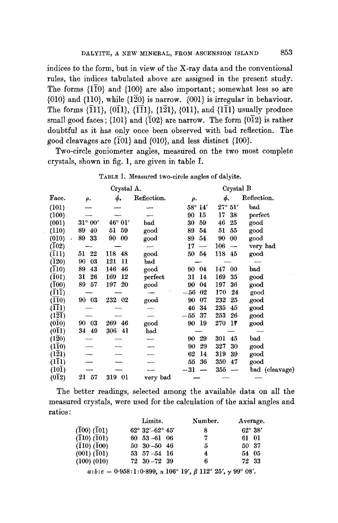indices to the form, but in view of the  $X$ -ray data and the conventional rules, the indices tabulated above are assigned in the present study. The forms  ${1\overline{10}}$  and  ${100}$  are also important; somewhat less so are  ${010}$  and  ${110}$ , while  ${120}$  is narrow.  ${001}$  is irregular in behaviour. The forms  $\{\bar{1}11\}$ ,  $\{\bar{0}\bar{1}1\}$ ,  $\{\bar{1}\bar{1}1\}$ ,  $\{\bar{1}\bar{2}1\}$ ,  $\{011\}$ , and  $\{\bar{1}\bar{1}1\}$  usually produce small good faces; {101} and {102} are narrow. The form {012} is rather doubtful as it has only once been observed with bad reflection. The good cleavages are  $\{101\}$  and  $\{010\}$ , and less distinct  $\{100\}$ .

Two-circle goniometer angles, measured on the two most complete crystals, shown in fig. 1, are given in table I.

|                             |                    | Crystal A.         |             | Crystal B        |                |                |  |
|-----------------------------|--------------------|--------------------|-------------|------------------|----------------|----------------|--|
| Face.                       | ρ.                 | ф.                 | Reflection. | ρ.               | ф.             | Reflection.    |  |
| (101)                       |                    |                    |             | $58^{\circ}$ 14' | $27^\circ$ 51' | bad            |  |
| (100)                       |                    |                    |             | 90<br>15         | 17<br>38       | perfect        |  |
| (001)                       | $31^{\circ}$ $00'$ | $46^{\circ}$ $01'$ | bad         | 30<br>59         | 46<br>25       | good           |  |
| (110)                       | 89<br>40           | 59<br>51           | good        | 89<br>54         | 51<br>55       | good           |  |
| (010)                       | 89<br>33           | -00<br>90          | good        | 89<br>54         | 90<br>00       | good           |  |
| $(\overline{1}02)$          |                    |                    |             | 17<br>—          | 106            | very bad       |  |
| (111)                       | 51<br>22           | 118<br>-48         | good        | 50 54            | 118<br>-45     | good           |  |
| (120)                       | 90<br>03           | 121<br>11          | bad         |                  |                |                |  |
| (110)                       | 89<br>43           | 146<br>46          | good        | 90 04            | 147<br>00      | bad            |  |
| (101)                       | 31<br>26           | 169<br>12          | perfect     | 14<br>31         | 169<br>35      | good           |  |
| (100)                       | 89<br>57           | 20<br>197          | good        | 04<br>90         | 197<br>36      | good           |  |
| $(II\bar{I})$               |                    |                    |             | $-56\,$<br>02    | 170<br>24      | good           |  |
| $(\overline{11}0)$          | 90 03              | 232 02             | good        | 90<br>07         | 232<br>25      | good           |  |
| $(\overline{11})$           |                    |                    |             | 46<br>34         | 235<br>45      | good           |  |
| $(1\overline{21})$          |                    |                    |             | 37<br>$-55$      | 253<br>26      | good           |  |
| $(0\overline{1}0)$          | 90<br>- 03         | 269<br>46          | good        | 19<br>90         | 270<br>17      | good           |  |
| $(0\overline{1}1)$          | 34 49              | 306<br>41          | bad         |                  |                |                |  |
| $(1\overline{2}0)$          |                    |                    |             | 29<br>90         | 301<br>45      | bad            |  |
| $(1\bar{1}0)$               |                    |                    |             | 29<br>90         | 327<br>30      | good           |  |
| $(1\overline{2}1)$          |                    |                    |             | 62<br>14         | 319<br>39      | good           |  |
| $(1\bar{1}1)$               |                    |                    |             | 36<br>55         | 350<br>47      | good           |  |
| (10 $\overline{\text{I}}$ ) |                    |                    |             | $^{\rm -31}$     | 355            | bad (cleavage) |  |
| $(0\bar{1}2)$               | 21<br>57           | 319 01             | very bad    |                  |                |                |  |

TABLE I. Measured two-circle angles of dalyite.

The better readings, selected among the available data on all the measured crystals, were used for the calculation of the axial angles and ratios:

|                 | Limits.                            | Number. | Average.         |
|-----------------|------------------------------------|---------|------------------|
| $(100)$ $(101)$ | $62^{\circ}$ 32'-62 $^{\circ}$ 45' | 8       | $62^{\circ}$ 38' |
| $(110)$ $(101)$ | $60\quad 53 - 61\quad 06$          | 7       | 61 01            |
| $(110)$ $(100)$ | $50\quad 30 - 50\quad 46$          | 5       | 50 37            |
| $(001)$ $(101)$ | $53\ \ 57 - 54\ \ 16$              | 4       | 54 05            |
| (100) (010)     | $72.30 - 72.39$                    | 6       | 72 33            |
|                 |                                    |         |                  |

 $a:b:c = 0.958:1:0.899$ ,  $\alpha$  106° 19',  $\beta$  112° 25',  $\gamma$  99° 08'.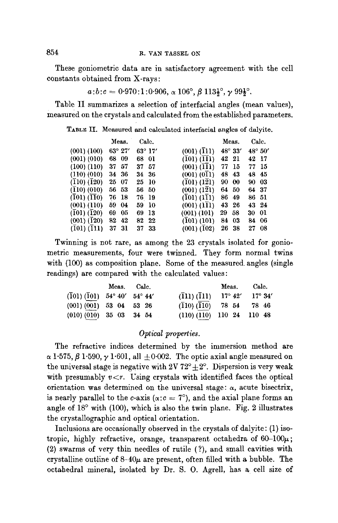These goniometric data are in satisfactory agreement with the cell constants obtained from X-rays:

 $a:b:c = 0.970:1:0.906$ ,  $\alpha$  106°,  $\beta$  113 $\frac{1}{2}$ °,  $\gamma$  99 $\frac{1}{2}$ °.

Table II summarizes a selection of interfacial angles (mean values), measured on the crystals and calculated from the established parameters.

TABLE II. Measured and calculated interfacial angles of dalyite.

|                            | Meas.     | Calc.            |                 | Meas.            | Calc.            |
|----------------------------|-----------|------------------|-----------------|------------------|------------------|
| $(001)$ $(100)$            | 63° 27'   | $63^{\circ}$ 17' | $(001)$ $(111)$ | $48^{\circ} 33'$ | $48^{\circ} 50'$ |
| $(001)$ $(010)$            | -09<br>68 | 68<br>-01        | $(101)$ $(111)$ | 42 21            | 42 17            |
| $(100)$ $(110)$            | 57<br>37  | 37<br>57         | $(001)$ $(111)$ | 77<br>15         | 77 15            |
| (110) (010)                | 34 36     | 34 36            | (001) (011)     | 48<br>43         | 48 45            |
| $(110)$ $(120)$            | 25 07     | 25 10            | $(101)$ $(121)$ | 90<br>-00        | 90<br>-03        |
| (110) (010)                | 56 53     | 56.<br>-50       | $(001)$ $(121)$ | 64<br>50         | 64 37            |
| (101) (110)                | 76 18     | 76 19            | (101) (111)     | 86<br>49         | 86 51            |
| $(001)$ $(110)$            | 59 04     | 59<br>-10        | $(001)$ $(111)$ | 43<br>-26        | 43 24            |
| $(101)$ $(120)$            | 69<br>-05 | 13<br>69         | $(001)$ $(101)$ | 29<br>58         | 30 01            |
| $(001)$ $(\overline{1}20)$ | 82<br>42  | 82<br>$22\,$     | (101) (101)     | 84<br>03         | 84 06            |
| $(101)$ $(\bar{1}11)$      | 31<br>37  | 37<br>33         | $(001)$ $(102)$ | 26<br>-38        | 27<br>08         |

Twinning is not rare, as among the 23 crystals isolated for goniometric measurements, four were twinned. They form normal twins with (100) as composition plane. Some of the measured angles (single readings) are compared with the calculated values:

|                                                     | Meas. Calc. |                                                             | Meas.          | Calc.            |
|-----------------------------------------------------|-------------|-------------------------------------------------------------|----------------|------------------|
| $(\overline{1}01) (\overline{1}01)$ 54° 40′ 54° 44′ |             | $(\bar{1}11) (\bar{1}11)$                                   | $17^\circ 42'$ | $17^{\circ} 34'$ |
| (001) (001) 53 04 53 26                             |             | $(\overline{1}10)\,(\overline{\overline{1}10})$ 78 54 78 46 |                |                  |
| (010) (010) 35 03 34 54                             |             | (110) (110) 110 24 110 48                                   |                |                  |

#### *Optical properties.*

The refractive indices determined by the immersion method are  $\alpha$  1.575,  $\beta$  1.590,  $\gamma$  1.601, all  $\pm$  0.002. The optic axial angle measured on the universal stage is negative with  $2V 72^{\circ} \pm 2^{\circ}$ . Dispersion is very weak with presumably  $v < r$ . Using crystals with identified faces the optical orientation was determined on the universal stage:  $\alpha$ , acute bisectrix, is nearly parallel to the c-axis ( $\alpha$ :  $c = 7^{\circ}$ ), and the axial plane forms an angle of  $18^{\circ}$  with (100), which is also the twin plane. Fig. 2 illustrates the crystallographic and optical orientation.

Inclusions are occasionally observed in the crystals of dalyite: (1) isotropic, highly refractive, orange, transparent octahedra of  $60-100\mu$ ; (2) swarms of very thin needles of futile (?), and small cavities with crystalline outline of  $8-40\mu$  are present, often filled with a bubble. The octahedral mineral, isolated by Dr. S. O. Agrell, has a cell size of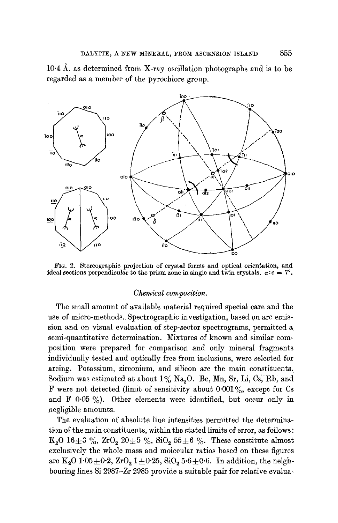$10.4$  Å, as determined from X-ray oscillation photographs and is to be regarded as a member of the pyrochlore group.



FIG. 2. Stereographie projection of crystal forms and optical orientation, and ideal sections perpendicular to the prism zone in single and twin crystals,  $\alpha$ :  $c = 7^\circ$ .

#### *Chemical composition.*

The small amount of available material required special care and the use of micro-methods. Spectrographic investigation, based on arc emission and on visual evaluation of step-sector spectrograms, permitted a semi-quantitative determination. Mixtures of known and similar composition were prepared for comparison and only mineral fragments individually tested and optically free from inclusions, were selected for arcing. Potassium, zirconium, and silicon are the main constituents. Sodium was estimated at about  $1\%$  Na<sub>2</sub>O. Be, Mn, Sr, Li, Cs, Rb, and F were not detected (limit of sensitivity about  $0.001\%$ , except for Cs and  $F$  0.05 %). Other elements were identified, but occur only in negligible amounts.

The evaluation of absolute line intensities permitted the determination of the main constituents, within the stated limits of error, as follows : K<sub>2</sub>O 16 $\pm$  3%, ZrO<sub>2</sub> 20 $\pm$  5%, SiO<sub>2</sub> 55 $\pm$  6%. These constitute almost exclusively the whole mass and molecular ratios based on these figures are  $K_2O$  1.05 $\pm$ 0.2,  $ZrO_2$  1 $\pm$ 0.25,  $SiO_2$  5.6 $\pm$ 0.6. In addition, the neighbouring lines Si 2987-Zr 2985 provide a suitable pair for relative evalua~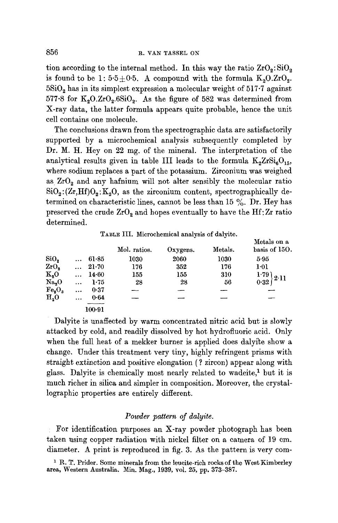tion according to the internal method. In this way the ratio  $ZrO_2$ :  $SiO_2$ is found to be 1:  $5.5 \pm 0.5$ . A compound with the formula  $K_2O.ZrO_2$ .  $5\mathrm{SiO}_2$  has in its simplest expression a molecular weight of  $517.7$  against 577.8 for  $K_2O.ZrO_2.6SiO_2$ . As the figure of 582 was determined from X-ray data, the latter formula appears quite probable, hence the unit cell contains one molecule.

The conclusions drawn from the spectrographic data are satisfactorily supported by a microehemical analysis subsequently completed by Dr. M. H. Hey on 22 mg. of the mineral. The interpretation of the analytical results given in table III leads to the formula  $K_2ZrSi_6O_{15}$ , where sodium replaces a part of the potassium. Zirconium was weighed as  $ZrO<sub>2</sub>$  and any hafnium will not alter sensibly the molecular ratio  $SiO<sub>2</sub>:(Zr,Hf)O<sub>2</sub>:K<sub>2</sub>O$ , as the zirconium content, spectrographically determined on characteristic lines, cannot be less than 15 %. Dr. Hey has preserved the crude  $ZrO<sub>2</sub>$  and hopes eventually to have the Hf: Zr ratio determined.

|                   |           |            | Mol. ratios. | Oxygens. | Metals. | Metals on a<br>basis of 150. |
|-------------------|-----------|------------|--------------|----------|---------|------------------------------|
| SiO <sub>2</sub>  | $\ddotsc$ | 61.85      | 1030         | 2060     | 1030    | 5.95                         |
| ZrO <sub>2</sub>  | $\cdots$  | $21 - 70$  | 176          | 352      | 176     | $1-01$                       |
| $K_{2}O$          |           | 14.60      | 155          | 155      | 310     | 1.79<br>2.11                 |
| Na <sub>2</sub> O | $\cdots$  | 1.75       | 28           | 28       | 56      | 0.32                         |
| $Te_{2}O_{3}$     | $\cdots$  | 0.37       |              |          |         |                              |
| H <sub>2</sub> O  |           | 0.64       |              |          |         |                              |
|                   |           | $100 - 91$ |              |          |         |                              |

Dalyite is unaffected by warm concentrated nitric acid but is slowly attacked by cold, and readily dissolved by hot hydrofluoric acid. Only when the full heat of a mekker burner is applied does dalyite show a change. Under this treatment very tiny, highly refringent prisms with straight extinction and positive elongation ( ? zircon) appear along with glass. Dalyite is chemically most nearly related to wadeite,<sup>1</sup> but it is much richer in silica and simpler in composition. Moreover, the crystallographic properties are entirely different.

## *Powder pattern of dalyite.*

: For identification purposes an X-ray powder photograph has been taken using copper radiation with nickel filter on a camera of 19 cm. diameter. A print is reproduced in fig. 3. As the pattern is very com-

<sup>&</sup>lt;sup>1</sup> R. T. Prider. Some minerals from the leucite-rich rocks of the West Kimberley area, Western Australia. Min. Mag., 1939, vol. 25, pp. 373-387.